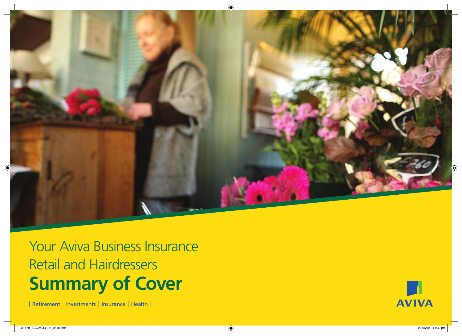

Your Aviva Business Insurance Retail and Hairdressers **Summary of Cover**

| Retirement | Investments | Insurance | Health |

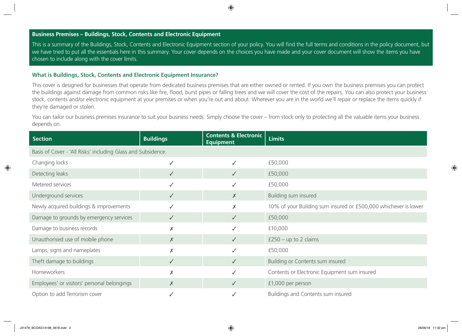## **Business Premises – Buildings, Stock, Contents and Electronic Equipment**

This is a summary of the Buildings, Stock, Contents and Electronic Equipment section of your policy. You will find the full terms and conditions in the policy document, but we have tried to put all the essentials here in this summary. Your cover depends on the choices you have made and your cover document will show the items you have chosen to include along with the cover limits.

## **What is Buildings, Stock, Contents and Electronic Equipment Insurance?**

This cover is designed for businesses that operate from dedicated business premises that are either owned or rented. If you own the business premises you can protect the buildings against damage from common risks like fire, flood, burst pipes or falling trees and we will cover the cost of the repairs. You can also protect your business stock, contents and/or electronic equipment at your premises or when you're out and about. Wherever you are in the world we'll repair or replace the items quickly if they're damaged or stolen.

You can tailor our business premises insurance to suit your business needs. Simply choose the cover – from stock only to protecting all the valuable items your business depends on.

| <b>Section</b>                                               | <b>Buildings</b> | <b>Contents &amp; Electronic</b><br><b>Equipment</b> | <b>Limits</b>                                                   |
|--------------------------------------------------------------|------------------|------------------------------------------------------|-----------------------------------------------------------------|
| Basis of Cover - 'All Risks' including Glass and Subsidence. |                  |                                                      |                                                                 |
| Changing locks                                               | $\checkmark$     | $\checkmark$                                         | £50,000                                                         |
| Detecting leaks                                              | ✓                | $\checkmark$                                         | £50,000                                                         |
| Metered services                                             | ✓                | ✓                                                    | £50,000                                                         |
| Underground services                                         | $\checkmark$     | $\times$                                             | Building sum insured                                            |
| Newly acquired buildings & improvements                      | ✓                | $\times$                                             | 10% of your Building sum insured or £500,000 whichever is lower |
| Damage to grounds by emergency services                      | $\checkmark$     | $\checkmark$                                         | £50,000                                                         |
| Damage to business records                                   | X                | ✓                                                    | £10,000                                                         |
| Unauthorised use of mobile phone                             | $\times$         | $\checkmark$                                         | $£250 - up to 2 claims$                                         |
| Lamps, signs and nameplates                                  | $\times$         | $\checkmark$                                         | £50,000                                                         |
| Theft damage to buildings                                    | $\checkmark$     | $\checkmark$                                         | Building or Contents sum insured                                |
| Homeworkers                                                  | X                | ✓                                                    | Contents or Electronic Equipment sum insured                    |
| Employees' or visitors' personal belongings                  | $\times$         | $\checkmark$                                         | £1,000 per person                                               |
| Option to add Terrorism cover                                |                  |                                                      | Buildings and Contents sum insured                              |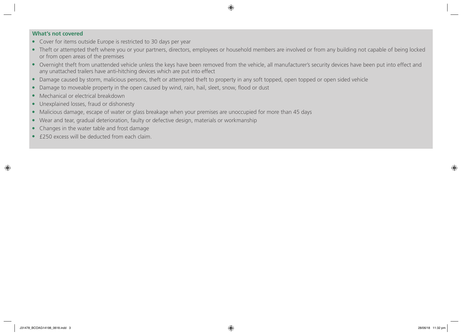- Cover for items outside Europe is restricted to 30 days per year
- Theft or attempted theft where you or your partners, directors, employees or household members are involved or from any building not capable of being locked or from open areas of the premises
- Overnight theft from unattended vehicle unless the keys have been removed from the vehicle, all manufacturer's security devices have been put into effect and any unattached trailers have anti-hitching devices which are put into effect
- Damage caused by storm, malicious persons, theft or attempted theft to property in any soft topped, open topped or open sided vehicle
- Damage to moveable property in the open caused by wind, rain, hail, sleet, snow, flood or dust
- Mechanical or electrical breakdown
- Unexplained losses, fraud or dishonesty
- Malicious damage, escape of water or glass breakage when your premises are unoccupied for more than 45 days
- Wear and tear, gradual deterioration, faulty or defective design, materials or workmanship
- Changes in the water table and frost damage
- £250 excess will be deducted from each claim.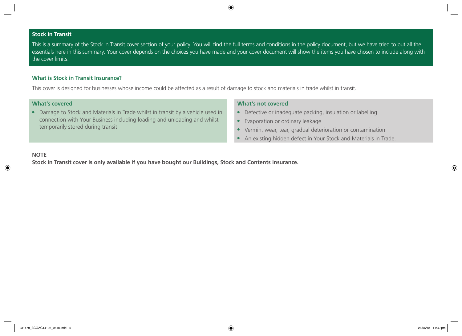## **Stock in Transit**

This is a summary of the Stock in Transit cover section of your policy. You will find the full terms and conditions in the policy document, but we have tried to put all the essentials here in this summary. Your cover depends on the choices you have made and your cover document will show the items you have chosen to include along with the cover limits.

## **What is Stock in Transit Insurance?**

This cover is designed for businesses whose income could be affected as a result of damage to stock and materials in trade whilst in transit.

## **What's covered**

● Damage to Stock and Materials in Trade whilst in transit by a vehicle used in connection with Your Business including loading and unloading and whilst temporarily stored during transit.

## **What's not covered**

- Defective or inadequate packing, insulation or labelling
- Evaporation or ordinary leakage
- Vermin, wear, tear, gradual deterioration or contamination
- An existing hidden defect in Your Stock and Materials in Trade.

## **NOTE**

**Stock in Transit cover is only available if you have bought our Buildings, Stock and Contents insurance.**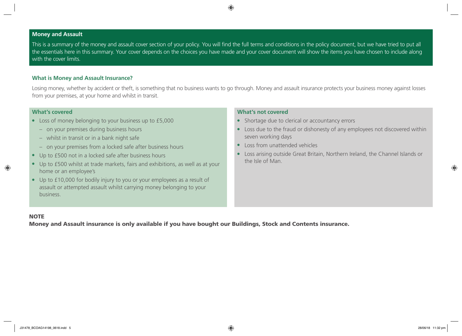## **Money and Assault**

This is a summary of the money and assault cover section of your policy. You will find the full terms and conditions in the policy document, but we have tried to put all the essentials here in this summary. Your cover depends on the choices you have made and your cover document will show the items you have chosen to include along with the cover limits.

## **What is Money and Assault Insurance?**

Losing money, whether by accident or theft, is something that no business wants to go through. Money and assault insurance protects your business money against losses from your premises, at your home and whilst in transit.

## **What's covered**

- Loss of money belonging to your business up to £5,000
	- on your premises during business hours
	- whilst in transit or in a bank night safe
	- on your premises from a locked safe after business hours
- Up to £500 not in a locked safe after business hours
- Up to £500 whilst at trade markets, fairs and exhibitions, as well as at your home or an employee's
- Up to £10,000 for bodily injury to you or your employees as a result of assault or attempted assault whilst carrying money belonging to your business.

## **What's not covered**

- Shortage due to clerical or accountancy errors
- Loss due to the fraud or dishonesty of any employees not discovered within seven working days
- Loss from unattended vehicles
- Loss arising outside Great Britain, Northern Ireland, the Channel Islands or the Isle of Man.

## **NOTE**

Money and Assault insurance is only available if you have bought our Buildings, Stock and Contents insurance.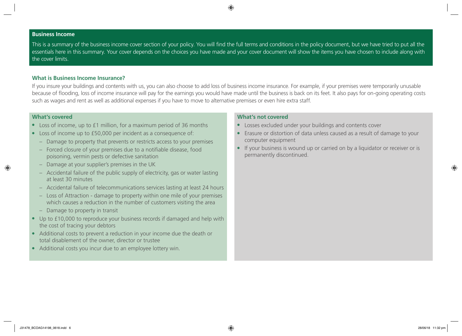#### **Business Income**

This is a summary of the business income cover section of your policy. You will find the full terms and conditions in the policy document, but we have tried to put all the essentials here in this summary. Your cover depends on the choices you have made and your cover document will show the items you have chosen to include along with the cover limits.

#### **What is Business Income Insurance?**

If you insure your buildings and contents with us, you can also choose to add loss of business income insurance. For example, if your premises were temporarily unusable because of flooding, loss of income insurance will pay for the earnings you would have made until the business is back on its feet. It also pays for on-going operating costs such as wages and rent as well as additional expenses if you have to move to alternative premises or even hire extra staff.

#### **What's covered**

- Loss of income, up to £1 million, for a maximum period of 36 months
- Loss of income up to £50,000 per incident as a consequence of:
	- Damage to property that prevents or restricts access to your premises
	- Forced closure of your premises due to a notifiable disease, food poisoning, vermin pests or defective sanitation
	- Damage at your supplier's premises in the UK
	- Accidental failure of the public supply of electricity, gas or water lasting at least 30 minutes
	- Accidental failure of telecommunications services lasting at least 24 hours
	- Loss of Attraction damage to property within one mile of your premises which causes a reduction in the number of customers visiting the area
	- Damage to property in transit
- Up to £10,000 to reproduce your business records if damaged and help with the cost of tracing your debtors
- Additional costs to prevent a reduction in your income due the death or total disablement of the owner, director or trustee
- Additional costs you incur due to an employee lottery win.

- Losses excluded under your buildings and contents cover
- Erasure or distortion of data unless caused as a result of damage to your computer equipment
- If your business is wound up or carried on by a liquidator or receiver or is permanently discontinued.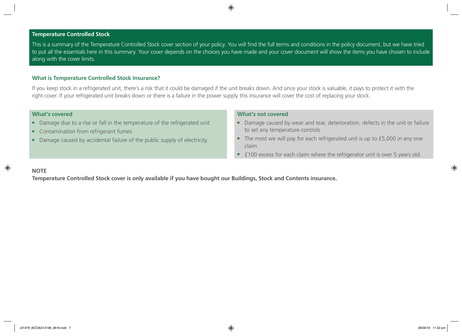## **Temperature Controlled Stock**

This is a summary of the Temperature Controlled Stock cover section of your policy. You will find the full terms and conditions in the policy document, but we have tried to put all the essentials here in this summary. Your cover depends on the choices you have made and your cover document will show the items you have chosen to include along with the cover limits.

## **What is Temperature Controlled Stock Insurance?**

If you keep stock in a refrigerated unit, there's a risk that it could be damaged if the unit breaks down. And since your stock is valuable, it pays to protect it with the right cover. If your refrigerated unit breaks down or there is a failure in the power supply this insurance will cover the cost of replacing your stock.

#### **What's covered**

- Damage due to a rise or fall in the temperature of the refrigerated unit
- Contamination from refrigerant fumes
- Damage caused by accidental failure of the public supply of electricity.

#### **What's not covered**

- Damage caused by wear and tear, deterioration, defects in the unit or failure to set any temperature controls
- The most we will pay for each refrigerated unit is up to £5,000 in any one claim
- £100 excess for each claim where the refrigerator unit is over 5 years old.

## **NOTE**

**Temperature Controlled Stock cover is only available if you have bought our Buildings, Stock and Contents insurance.**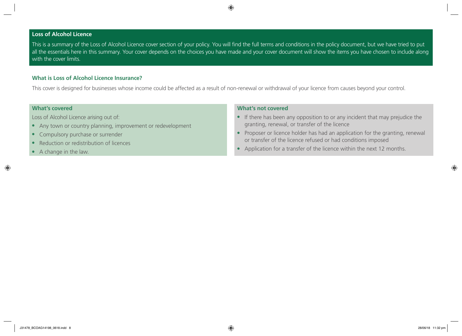## **Loss of Alcohol Licence**

This is a summary of the Loss of Alcohol Licence cover section of your policy. You will find the full terms and conditions in the policy document, but we have tried to put all the essentials here in this summary. Your cover depends on the choices you have made and your cover document will show the items you have chosen to include along with the cover limits.

## **What is Loss of Alcohol Licence Insurance?**

This cover is designed for businesses whose income could be affected as a result of non-renewal or withdrawal of your licence from causes beyond your control.

## **What's covered**

Loss of Alcohol Licence arising out of:

- Any town or country planning, improvement or redevelopment
- Compulsory purchase or surrender
- Reduction or redistribution of licences
- A change in the law.

- If there has been any opposition to or any incident that may prejudice the granting, renewal, or transfer of the licence
- Proposer or licence holder has had an application for the granting, renewal or transfer of the licence refused or had conditions imposed
- Application for a transfer of the licence within the next 12 months.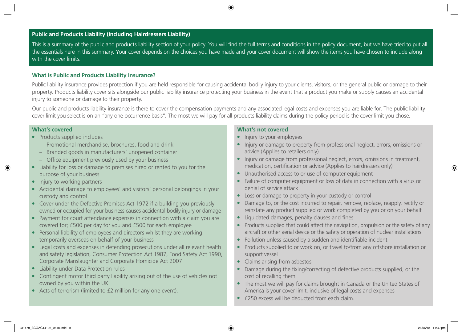## **Public and Products Liability (including Hairdressers Liability)**

This is a summary of the public and products liability section of your policy. You will find the full terms and conditions in the policy document, but we have tried to put all the essentials here in this summary. Your cover depends on the choices you have made and your cover document will show the items you have chosen to include along with the cover limits.

## **What is Public and Products Liability Insurance?**

Public liability insurance provides protection if you are held responsible for causing accidental bodily injury to your clients, visitors, or the general public or damage to their property. Products liability cover sits alongside our public liability insurance protecting your business in the event that a product you make or supply causes an accidental injury to someone or damage to their property.

Our public and products liability insurance is there to cover the compensation payments and any associated legal costs and expenses you are liable for. The public liability cover limit you select is on an "any one occurrence basis". The most we will pay for all products liability claims during the policy period is the cover limit you chose.

#### **What's covered**

- Products supplied includes
	- Promotional merchandise, brochures, food and drink
	- Branded goods in manufacturers' unopened container
	- Office equipment previously used by your business
- Liability for loss or damage to premises hired or rented to you for the purpose of your business
- Injury to working partners
- Accidental damage to employees' and visitors' personal belongings in your custody and control
- Cover under the Defective Premises Act 1972 if a building you previously owned or occupied for your business causes accidental bodily injury or damage
- Payment for court attendance expenses in connection with a claim you are covered for; £500 per day for you and £500 for each employee
- Personal liability of employees and directors whilst they are working temporarily overseas on behalf of your business
- Legal costs and expenses in defending prosecutions under all relevant health and safety legislation, Consumer Protection Act 1987, Food Safety Act 1990, Corporate Manslaughter and Corporate Homicide Act 2007
- Liability under Data Protection rules
- Contingent motor third party liability arising out of the use of vehicles not owned by you within the UK
- Acts of terrorism (limited to £2 million for any one event).

- Injury to your employees
- Injury or damage to property from professional neglect, errors, omissions or advice (Applies to retailers only)
- Injury or damage from professional neglect, errors, omissions in treatment, medication, certification or advice (Applies to hairdressers only)
- Unauthorised access to or use of computer equipment
- Failure of computer equipment or loss of data in connection with a virus or denial of service attack
- Loss or damage to property in your custody or control
- Damage to, or the cost incurred to repair, remove, replace, reapply, rectify or reinstate any product supplied or work completed by you or on your behalf
- Liquidated damages, penalty clauses and fines
- Products supplied that could affect the navigation, propulsion or the safety of any aircraft or other aerial device or the safety or operation of nuclear installations
- Pollution unless caused by a sudden and identifiable incident
- Products supplied to or work on, or travel to/from any offshore installation or support vessel
- Claims arising from asbestos
- Damage during the fixing/correcting of defective products supplied, or the cost of recalling them
- The most we will pay for claims brought in Canada or the United States of America is your cover limit, inclusive of legal costs and expenses
- £250 excess will be deducted from each claim.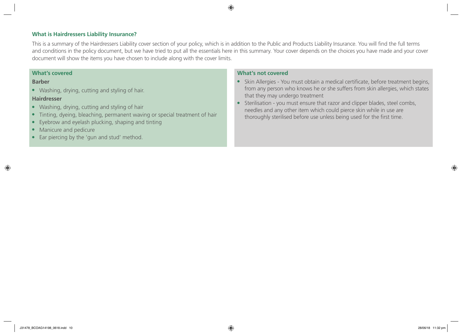## **What is Hairdressers Liability Insurance?**

This is a summary of the Hairdressers Liability cover section of your policy, which is in addition to the Public and Products Liability Insurance. You will find the full terms and conditions in the policy document, but we have tried to put all the essentials here in this summary. Your cover depends on the choices you have made and your cover document will show the items you have chosen to include along with the cover limits.

#### **What's covered**

### **Barber**

● Washing, drying, cutting and styling of hair.

## **Hairdresser**

- Washing, drying, cutting and styling of hair
- Tinting, dyeing, bleaching, permanent waving or special treatment of hair
- Eyebrow and eyelash plucking, shaping and tinting
- Manicure and pedicure
- Ear piercing by the 'gun and stud' method.

- Skin Allergies You must obtain a medical certificate, before treatment begins, from any person who knows he or she suffers from skin allergies, which states that they may undergo treatment
- Sterilisation you must ensure that razor and clipper blades, steel combs, needles and any other item which could pierce skin while in use are thoroughly sterilised before use unless being used for the first time.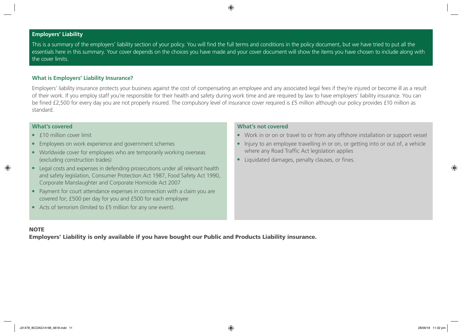## **Employers' Liability**

This is a summary of the employers' liability section of your policy. You will find the full terms and conditions in the policy document, but we have tried to put all the essentials here in this summary. Your cover depends on the choices you have made and your cover document will show the items you have chosen to include along with the cover limits.

## **What is Employers' Liability Insurance?**

Employers' liability insurance protects your business against the cost of compensating an employee and any associated legal fees if they're injured or become ill as a result of their work. If you employ staff you're responsible for their health and safety during work time and are required by law to have employers' liability insurance. You can be fined £2,500 for every day you are not properly insured. The compulsory level of insurance cover required is £5 million although our policy provides £10 million as standard.

## **What's covered**

- f10 million cover limit
- Employees on work experience and government schemes
- Worldwide cover for employees who are temporarily working overseas (excluding construction trades)
- Legal costs and expenses in defending prosecutions under all relevant health and safety legislation, Consumer Protection Act 1987, Food Safety Act 1990, Corporate Manslaughter and Corporate Homicide Act 2007
- Payment for court attendance expenses in connection with a claim you are covered for; £500 per day for you and £500 for each employee
- Acts of terrorism (limited to £5 million for any one event).

## **What's not covered**

- Work in or on or travel to or from any offshore installation or support vessel
- Injury to an employee travelling in or on, or getting into or out of, a vehicle where any Road Traffic Act legislation applies
- Liquidated damages, penalty clauses, or fines.

# **NOTE**

Employers' Liability is only available if you have bought our Public and Products Liability insurance.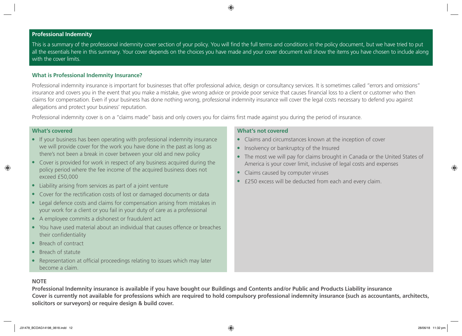## **Professional Indemnity**

This is a summary of the professional indemnity cover section of your policy. You will find the full terms and conditions in the policy document, but we have tried to put all the essentials here in this summary. Your cover depends on the choices you have made and your cover document will show the items you have chosen to include along with the cover limits.

## **What is Professional Indemnity Insurance?**

Professional indemnity insurance is important for businesses that offer professional advice, design or consultancy services. It is sometimes called "errors and omissions" insurance and covers you in the event that you make a mistake, give wrong advice or provide poor service that causes financial loss to a client or customer who then claims for compensation. Even if your business has done nothing wrong, professional indemnity insurance will cover the legal costs necessary to defend you against allegations and protect your business' reputation.

Professional indemnity cover is on a "claims made" basis and only covers you for claims first made against you during the period of insurance.

### **What's covered**

- If your business has been operating with professional indemnity insurance we will provide cover for the work you have done in the past as long as there's not been a break in cover between your old and new policy
- Cover is provided for work in respect of any business acquired during the policy period where the fee income of the acquired business does not exceed £50,000
- Liability arising from services as part of a joint venture
- Cover for the rectification costs of lost or damaged documents or data
- Legal defence costs and claims for compensation arising from mistakes in your work for a client or you fail in your duty of care as a professional
- A employee commits a dishonest or fraudulent act
- You have used material about an individual that causes offence or breaches their confidentiality
- Breach of contract
- Breach of statute
- Representation at official proceedings relating to issues which may later become a claim.

## **What's not covered**

- Claims and circumstances known at the inception of cover
- Insolvency or bankruptcy of the Insured
- The most we will pay for claims brought in Canada or the United States of America is your cover limit, inclusive of legal costs and expenses
- Claims caused by computer viruses
- £250 excess will be deducted from each and every claim.

## **NOTE**

**Professional Indemnity insurance is available if you have bought our Buildings and Contents and/or Public and Products Liability insurance Cover is currently not available for professions which are required to hold compulsory professional indemnity insurance (such as accountants, architects, solicitors or surveyors) or require design & build cover.**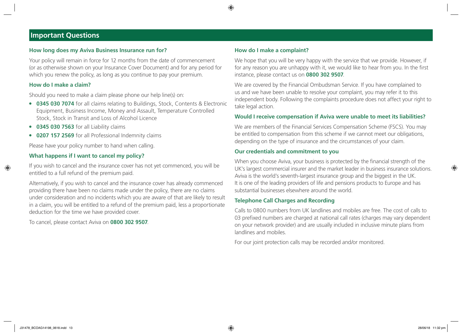# **Important Questions**

## **How long does my Aviva Business Insurance run for?**

Your policy will remain in force for 12 months from the date of commencement (or as otherwise shown on your Insurance Cover Document) and for any period for which you renew the policy, as long as you continue to pay your premium.

#### **How do I make a claim?**

Should you need to make a claim please phone our help line(s) on:

- **0345 030 7074** for all claims relating to Buildings, Stock, Contents & Electronic Equipment, Business Income, Money and Assault, Temperature Controlled Stock, Stock in Transit and Loss of Alcohol Licence
- **0345 030 7563** for all Liability claims
- **0207 157 2569** for all Professional Indemnity claims

Please have your policy number to hand when calling.

## **What happens if I want to cancel my policy?**

If you wish to cancel and the insurance cover has not yet commenced, you will be entitled to a full refund of the premium paid.

Alternatively, if you wish to cancel and the insurance cover has already commenced providing there have been no claims made under the policy, there are no claims under consideration and no incidents which you are aware of that are likely to result in a claim, you will be entitled to a refund of the premium paid, less a proportionate deduction for the time we have provided cover.

To cancel, please contact Aviva on **0800 302 9507**.

## **How do I make a complaint?**

We hope that you will be very happy with the service that we provide. However, if for any reason you are unhappy with it, we would like to hear from you. In the first instance, please contact us on **0800 302 9507**.

We are covered by the Financial Ombudsman Service. If you have complained to us and we have been unable to resolve your complaint, you may refer it to this independent body. Following the complaints procedure does not affect your right to take legal action.

## **Would I receive compensation if Aviva were unable to meet its liabilities?**

We are members of the Financial Services Compensation Scheme (FSCS). You may be entitled to compensation from this scheme if we cannot meet our obligations, depending on the type of insurance and the circumstances of your claim.

## **Our credentials and commitment to you**

When you choose Aviva, your business is protected by the financial strength of the UK's largest commercial insurer and the market leader in business insurance solutions. Aviva is the world's seventh-largest insurance group and the biggest in the UK. It is one of the leading providers of life and pensions products to Europe and has substantial businesses elsewhere around the world.

#### **Telephone Call Charges and Recording**

Calls to 0800 numbers from UK landlines and mobiles are free. The cost of calls to 03 prefixed numbers are charged at national call rates (charges may vary dependent on your network provider) and are usually included in inclusive minute plans from landlines and mobiles.

For our joint protection calls may be recorded and/or monitored.